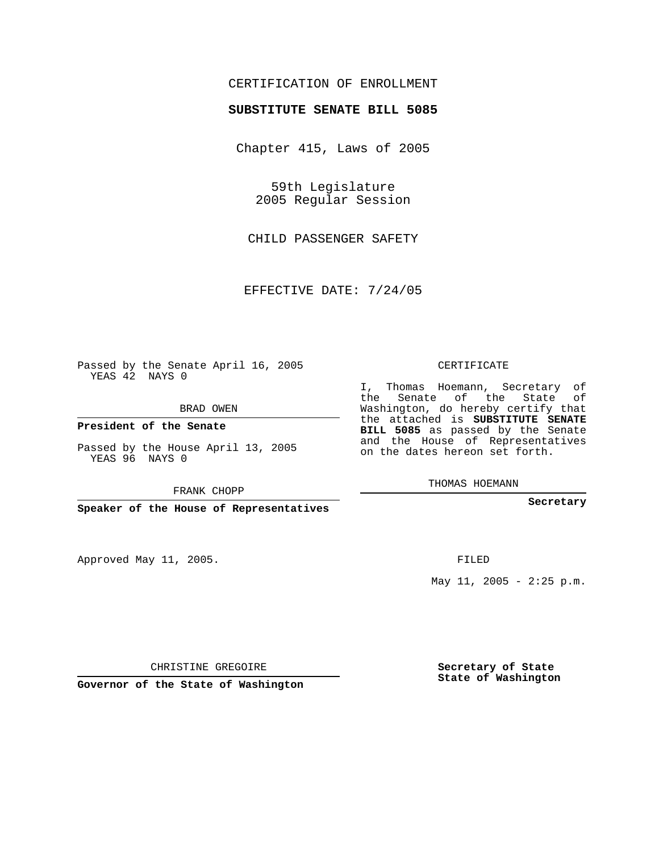## CERTIFICATION OF ENROLLMENT

## **SUBSTITUTE SENATE BILL 5085**

Chapter 415, Laws of 2005

59th Legislature 2005 Regular Session

CHILD PASSENGER SAFETY

EFFECTIVE DATE: 7/24/05

Passed by the Senate April 16, 2005 YEAS 42 NAYS 0

BRAD OWEN

**President of the Senate**

Passed by the House April 13, 2005 YEAS 96 NAYS 0

FRANK CHOPP

**Speaker of the House of Representatives**

Approved May 11, 2005.

CERTIFICATE

I, Thomas Hoemann, Secretary of the Senate of the State of Washington, do hereby certify that the attached is **SUBSTITUTE SENATE BILL 5085** as passed by the Senate and the House of Representatives on the dates hereon set forth.

THOMAS HOEMANN

**Secretary**

FILED

May  $11$ ,  $2005 - 2:25$  p.m.

CHRISTINE GREGOIRE

**Governor of the State of Washington**

**Secretary of State State of Washington**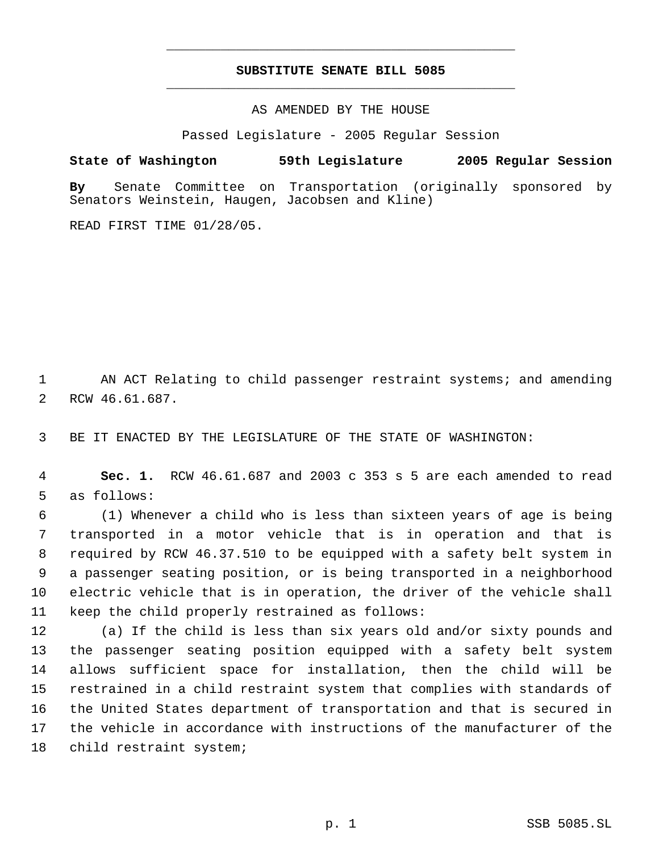## **SUBSTITUTE SENATE BILL 5085** \_\_\_\_\_\_\_\_\_\_\_\_\_\_\_\_\_\_\_\_\_\_\_\_\_\_\_\_\_\_\_\_\_\_\_\_\_\_\_\_\_\_\_\_\_

\_\_\_\_\_\_\_\_\_\_\_\_\_\_\_\_\_\_\_\_\_\_\_\_\_\_\_\_\_\_\_\_\_\_\_\_\_\_\_\_\_\_\_\_\_

AS AMENDED BY THE HOUSE

Passed Legislature - 2005 Regular Session

**State of Washington 59th Legislature 2005 Regular Session**

**By** Senate Committee on Transportation (originally sponsored by Senators Weinstein, Haugen, Jacobsen and Kline)

READ FIRST TIME 01/28/05.

1 AN ACT Relating to child passenger restraint systems; and amending RCW 46.61.687.

BE IT ENACTED BY THE LEGISLATURE OF THE STATE OF WASHINGTON:

 **Sec. 1.** RCW 46.61.687 and 2003 c 353 s 5 are each amended to read as follows:

 (1) Whenever a child who is less than sixteen years of age is being transported in a motor vehicle that is in operation and that is required by RCW 46.37.510 to be equipped with a safety belt system in a passenger seating position, or is being transported in a neighborhood electric vehicle that is in operation, the driver of the vehicle shall keep the child properly restrained as follows:

 (a) If the child is less than six years old and/or sixty pounds and the passenger seating position equipped with a safety belt system allows sufficient space for installation, then the child will be restrained in a child restraint system that complies with standards of the United States department of transportation and that is secured in the vehicle in accordance with instructions of the manufacturer of the child restraint system;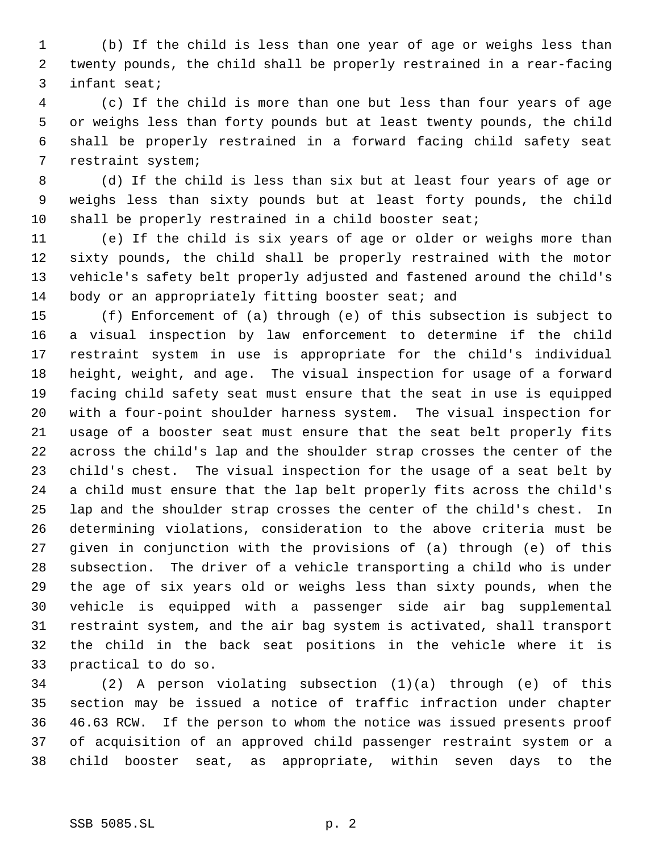(b) If the child is less than one year of age or weighs less than twenty pounds, the child shall be properly restrained in a rear-facing infant seat;

 (c) If the child is more than one but less than four years of age or weighs less than forty pounds but at least twenty pounds, the child shall be properly restrained in a forward facing child safety seat restraint system;

 (d) If the child is less than six but at least four years of age or weighs less than sixty pounds but at least forty pounds, the child shall be properly restrained in a child booster seat;

 (e) If the child is six years of age or older or weighs more than sixty pounds, the child shall be properly restrained with the motor vehicle's safety belt properly adjusted and fastened around the child's body or an appropriately fitting booster seat; and

 (f) Enforcement of (a) through (e) of this subsection is subject to a visual inspection by law enforcement to determine if the child restraint system in use is appropriate for the child's individual height, weight, and age. The visual inspection for usage of a forward facing child safety seat must ensure that the seat in use is equipped with a four-point shoulder harness system. The visual inspection for usage of a booster seat must ensure that the seat belt properly fits across the child's lap and the shoulder strap crosses the center of the child's chest. The visual inspection for the usage of a seat belt by a child must ensure that the lap belt properly fits across the child's lap and the shoulder strap crosses the center of the child's chest. In determining violations, consideration to the above criteria must be given in conjunction with the provisions of (a) through (e) of this subsection. The driver of a vehicle transporting a child who is under the age of six years old or weighs less than sixty pounds, when the vehicle is equipped with a passenger side air bag supplemental restraint system, and the air bag system is activated, shall transport the child in the back seat positions in the vehicle where it is practical to do so.

 (2) A person violating subsection (1)(a) through (e) of this section may be issued a notice of traffic infraction under chapter 46.63 RCW. If the person to whom the notice was issued presents proof of acquisition of an approved child passenger restraint system or a child booster seat, as appropriate, within seven days to the